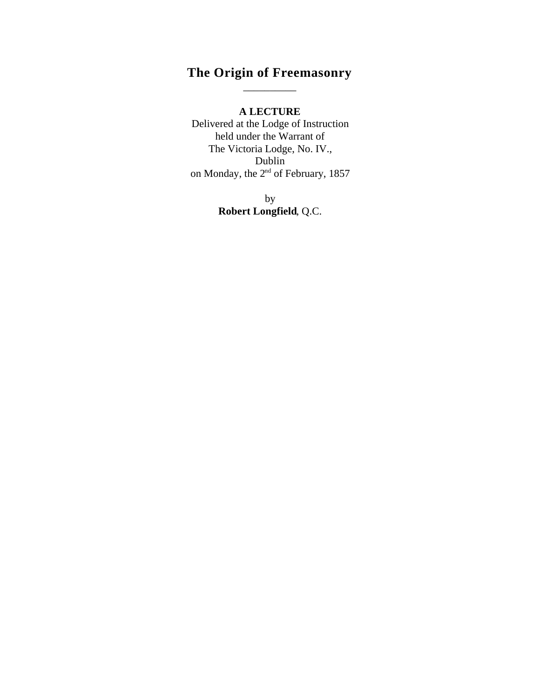## **The Origin of Freemasonry** \_\_\_\_\_\_\_\_\_\_

**A LECTURE**

Delivered at the Lodge of Instruction held under the Warrant of The Victoria Lodge, No. IV., Dublin on Monday, the  $2<sup>nd</sup>$  of February, 1857

> by **Robert Longfield**, Q.C.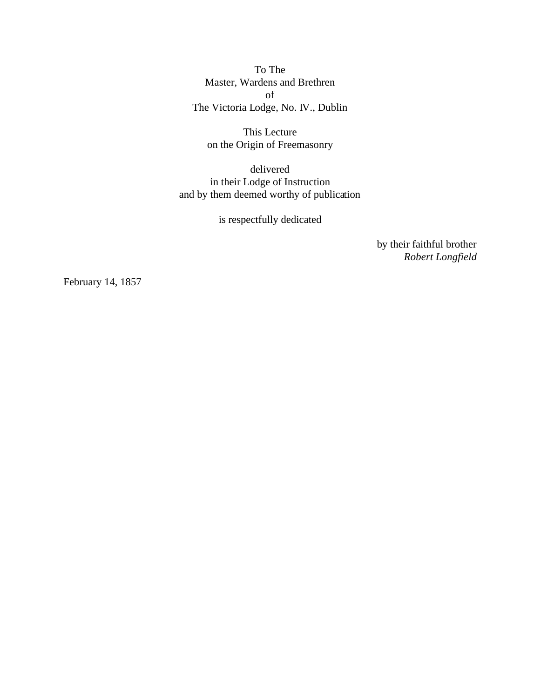To The Master, Wardens and Brethren of The Victoria Lodge, No. IV., Dublin

This Lecture on the Origin of Freemasonry

delivered in their Lodge of Instruction and by them deemed worthy of publication

is respectfully dedicated

by their faithful brother *Robert Longfield*

February 14, 1857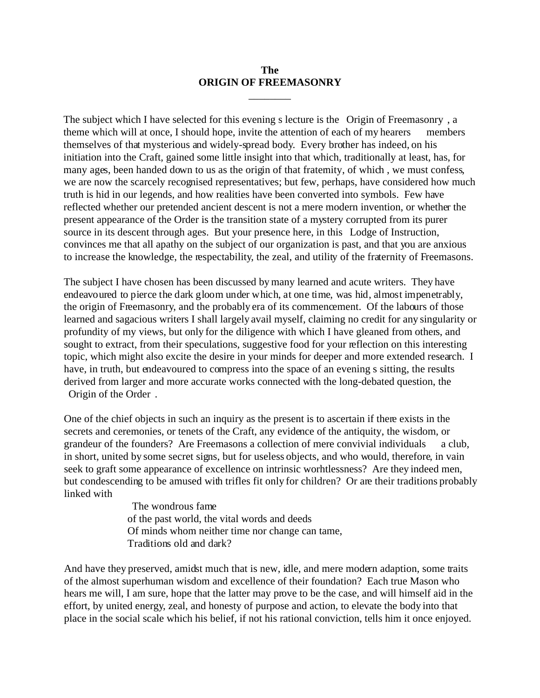#### **The ORIGIN OF FREEMASONRY**

\_\_\_\_\_\_\_\_

The subject which I have selected for this evening s lecture is the Origin of Freemasonry , a theme which will at once, I should hope, invite the attention of each of my hearers members themselves of that mysterious and widely-spread body. Every brother has indeed, on his initiation into the Craft, gained some little insight into that which, traditionally at least, has, for many ages, been handed down to us as the origin of that fraternity, of which , we must confess, we are now the scarcely recognised representatives; but few, perhaps, have considered how much truth is hid in our legends, and how realities have been converted into symbols. Few have reflected whether our pretended ancient descent is not a mere modern invention, or whether the present appearance of the Order is the transition state of a mystery corrupted from its purer source in its descent through ages. But your presence here, in this Lodge of Instruction, convinces me that all apathy on the subject of our organization is past, and that you are anxious to increase the knowledge, the respectability, the zeal, and utility of the fraternity of Freemasons.

The subject I have chosen has been discussed by many learned and acute writers. They have endeavoured to pierce the dark gloom under which, at one time, was hid, almost impenetrably, the origin of Freemasonry, and the probably era of its commencement. Of the labours of those learned and sagacious writers I shall largely avail myself, claiming no credit for any singularity or profundity of my views, but only for the diligence with which I have gleaned from others, and sought to extract, from their speculations, suggestive food for your reflection on this interesting topic, which might also excite the desire in your minds for deeper and more extended research. I have, in truth, but endeavoured to compress into the space of an evening s sitting, the results derived from larger and more accurate works connected with the long-debated question, the Origin of the Order .

One of the chief objects in such an inquiry as the present is to ascertain if there exists in the secrets and ceremonies, or tenets of the Craft, any evidence of the antiquity, the wisdom, or grandeur of the founders? Are Freemasons a collection of mere convivial individuals a club, in short, united by some secret signs, but for useless objects, and who would, therefore, in vain seek to graft some appearance of excellence on intrinsic worhtlessness? Are they indeed men, but condescending to be amused with trifles fit only for children? Or are their traditions probably linked with

> The wondrous fame of the past world, the vital words and deeds Of minds whom neither time nor change can tame, Traditions old and dark?

And have they preserved, amidst much that is new, idle, and mere modern adaption, some traits of the almost superhuman wisdom and excellence of their foundation? Each true Mason who hears me will, I am sure, hope that the latter may prove to be the case, and will himself aid in the effort, by united energy, zeal, and honesty of purpose and action, to elevate the body into that place in the social scale which his belief, if not his rational conviction, tells him it once enjoyed.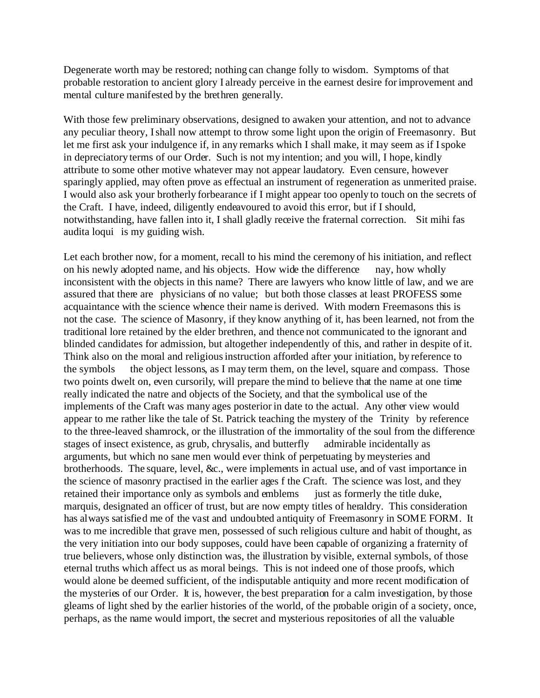Degenerate worth may be restored; nothing can change folly to wisdom. Symptoms of that probable restoration to ancient glory I already perceive in the earnest desire for improvement and mental culture manifested by the brethren generally.

With those few preliminary observations, designed to awaken your attention, and not to advance any peculiar theory, I shall now attempt to throw some light upon the origin of Freemasonry. But let me first ask your indulgence if, in any remarks which I shall make, it may seem as if I spoke in depreciatory terms of our Order. Such is not my intention; and you will, I hope, kindly attribute to some other motive whatever may not appear laudatory. Even censure, however sparingly applied, may often prove as effectual an instrument of regeneration as unmerited praise. I would also ask your brotherly forbearance if I might appear too openly to touch on the secrets of the Craft. I have, indeed, diligently endeavoured to avoid this error, but if I should, notwithstanding, have fallen into it, I shall gladly receive the fraternal correction. Sit mihi fas audita loqui is my guiding wish.

Let each brother now, for a moment, recall to his mind the ceremony of his initiation, and reflect on his newly adopted name, and his objects. How wide the difference nay, how wholly inconsistent with the objects in this name? There are lawyers who know little of law, and we are assured that there are physicians of no value; but both those classes at least PROFESS some acquaintance with the science whence their name is derived. With modern Freemasons this is not the case. The science of Masonry, if they know anything of it, has been learned, not from the traditional lore retained by the elder brethren, and thence not communicated to the ignorant and blinded candidates for admission, but altogether independently of this, and rather in despite of it. Think also on the moral and religious instruction afforded after your initiation, by reference to the symbols the object lessons, as I may term them, on the level, square and compass. Those two points dwelt on, even cursorily, will prepare the mind to believe that the name at one time really indicated the natre and objects of the Society, and that the symbolical use of the implements of the Craft was many ages posterior in date to the actual. Any other view would appear to me rather like the tale of St. Patrick teaching the mystery of the Trinity by reference to the three-leaved shamrock, or the illustration of the immortality of the soul from the difference stages of insect existence, as grub, chrysalis, and butterfly admirable incidentally as arguments, but which no sane men would ever think of perpetuating by meysteries and brotherhoods. The square, level, &c., were implements in actual use, and of vast importance in the science of masonry practised in the earlier ages f the Craft. The science was lost, and they retained their importance only as symbols and emblems just as formerly the title duke, marquis, designated an officer of trust, but are now empty titles of heraldry. This consideration has always satisfied me of the vast and undoubted antiquity of Freemasonry in SOME FORM. It was to me incredible that grave men, possessed of such religious culture and habit of thought, as the very initiation into our body supposes, could have been capable of organizing a fraternity of true believers, whose only distinction was, the illustration by visible, external symbols, of those eternal truths which affect us as moral beings. This is not indeed one of those proofs, which would alone be deemed sufficient, of the indisputable antiquity and more recent modification of the mysteries of our Order. It is, however, the best preparation for a calm investigation, by those gleams of light shed by the earlier histories of the world, of the probable origin of a society, once, perhaps, as the name would import, the secret and mysterious repositories of all the valuable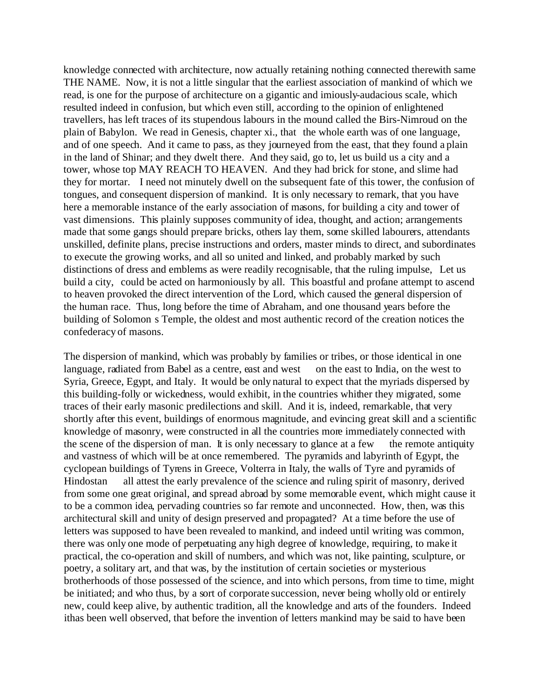knowledge connected with architecture, now actually retaining nothing connected therewith same THE NAME. Now, it is not a little singular that the earliest association of mankind of which we read, is one for the purpose of architecture on a gigantic and imiously-audacious scale, which resulted indeed in confusion, but which even still, according to the opinion of enlightened travellers, has left traces of its stupendous labours in the mound called the Birs-Nimroud on the plain of Babylon. We read in Genesis, chapter xi., that the whole earth was of one language, and of one speech. And it came to pass, as they journeyed from the east, that they found a plain in the land of Shinar; and they dwelt there. And they said, go to, let us build us a city and a tower, whose top MAY REACH TO HEAVEN. And they had brick for stone, and slime had they for mortar. I need not minutely dwell on the subsequent fate of this tower, the confusion of tongues, and consequent dispersion of mankind. It is only necessary to remark, that you have here a memorable instance of the early association of masons, for building a city and tower of vast dimensions. This plainly supposes community of idea, thought, and action; arrangements made that some gangs should prepare bricks, others lay them, some skilled labourers, attendants unskilled, definite plans, precise instructions and orders, master minds to direct, and subordinates to execute the growing works, and all so united and linked, and probably marked by such distinctions of dress and emblems as were readily recognisable, that the ruling impulse, Let us build a city, could be acted on harmoniously by all. This boastful and profane attempt to ascend to heaven provoked the direct intervention of the Lord, which caused the general dispersion of the human race. Thus, long before the time of Abraham, and one thousand years before the building of Solomon s Temple, the oldest and most authentic record of the creation notices the confederacy of masons.

The dispersion of mankind, which was probably by families or tribes, or those identical in one language, radiated from Babel as a centre, east and west on the east to India, on the west to Syria, Greece, Egypt, and Italy. It would be only natural to expect that the myriads dispersed by this building-folly or wickedness, would exhibit, in the countries whither they migrated, some traces of their early masonic predilections and skill. And it is, indeed, remarkable, that very shortly after this event, buildings of enormous magnitude, and evincing great skill and a scientific knowledge of masonry, were constructed in all the countries more immediately connected with the scene of the dispersion of man. It is only necessary to glance at a few the remote antiquity and vastness of which will be at once remembered. The pyramids and labyrinth of Egypt, the cyclopean buildings of Tyrens in Greece, Volterra in Italy, the walls of Tyre and pyramids of Hindostan all attest the early prevalence of the science and ruling spirit of masonry, derived from some one great original, and spread abroad by some memorable event, which might cause it to be a common idea, pervading countries so far remote and unconnected. How, then, was this architectural skill and unity of design preserved and propagated? At a time before the use of letters was supposed to have been revealed to mankind, and indeed until writing was common, there was only one mode of perpetuating any high degree of knowledge, requiring, to make it practical, the co-operation and skill of numbers, and which was not, like painting, sculpture, or poetry, a solitary art, and that was, by the institution of certain societies or mysterious brotherhoods of those possessed of the science, and into which persons, from time to time, might be initiated; and who thus, by a sort of corporate succession, never being wholly old or entirely new, could keep alive, by authentic tradition, all the knowledge and arts of the founders. Indeed ithas been well observed, that before the invention of letters mankind may be said to have been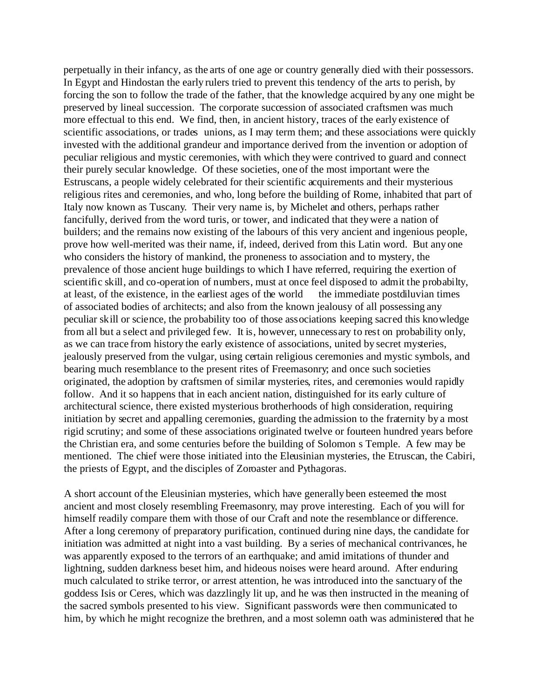perpetually in their infancy, as the arts of one age or country generally died with their possessors. In Egypt and Hindostan the early rulers tried to prevent this tendency of the arts to perish, by forcing the son to follow the trade of the father, that the knowledge acquired by any one might be preserved by lineal succession. The corporate succession of associated craftsmen was much more effectual to this end. We find, then, in ancient history, traces of the early existence of scientific associations, or trades unions, as I may term them; and these associations were quickly invested with the additional grandeur and importance derived from the invention or adoption of peculiar religious and mystic ceremonies, with which they were contrived to guard and connect their purely secular knowledge. Of these societies, one of the most important were the Estruscans, a people widely celebrated for their scientific acquirements and their mysterious religious rites and ceremonies, and who, long before the building of Rome, inhabited that part of Italy now known as Tuscany. Their very name is, by Michelet and others, perhaps rather fancifully, derived from the word turis, or tower, and indicated that they were a nation of builders; and the remains now existing of the labours of this very ancient and ingenious people, prove how well-merited was their name, if, indeed, derived from this Latin word. But any one who considers the history of mankind, the proneness to association and to mystery, the prevalence of those ancient huge buildings to which I have referred, requiring the exertion of scientific skill, and co-operation of numbers, must at once feel disposed to admit the probabilty, at least, of the existence, in the earliest ages of the world the immediate postdiluvian times of associated bodies of architects; and also from the known jealousy of all possessing any peculiar skill or science, the probability too of those associations keeping sacred this knowledge from all but a select and privileged few. It is, however, unnecessary to rest on probability only, as we can trace from history the early existence of associations, united by secret mysteries, jealously preserved from the vulgar, using certain religious ceremonies and mystic symbols, and bearing much resemblance to the present rites of Freemasonry; and once such societies originated, the adoption by craftsmen of similar mysteries, rites, and ceremonies would rapidly follow. And it so happens that in each ancient nation, distinguished for its early culture of architectural science, there existed mysterious brotherhoods of high consideration, requiring initiation by secret and appalling ceremonies, guarding the admission to the fraternity by a most rigid scrutiny; and some of these associations originated twelve or fourteen hundred years before the Christian era, and some centuries before the building of Solomon s Temple. A few may be mentioned. The chief were those initiated into the Eleusinian mysteries, the Etruscan, the Cabiri, the priests of Egypt, and the disciples of Zoroaster and Pythagoras.

A short account of the Eleusinian mysteries, which have generally been esteemed the most ancient and most closely resembling Freemasonry, may prove interesting. Each of you will for himself readily compare them with those of our Craft and note the resemblance or difference. After a long ceremony of preparatory purification, continued during nine days, the candidate for initiation was admitted at night into a vast building. By a series of mechanical contrivances, he was apparently exposed to the terrors of an earthquake; and amid imitations of thunder and lightning, sudden darkness beset him, and hideous noises were heard around. After enduring much calculated to strike terror, or arrest attention, he was introduced into the sanctuary of the goddess Isis or Ceres, which was dazzlingly lit up, and he was then instructed in the meaning of the sacred symbols presented to his view. Significant passwords were then communicated to him, by which he might recognize the brethren, and a most solemn oath was administered that he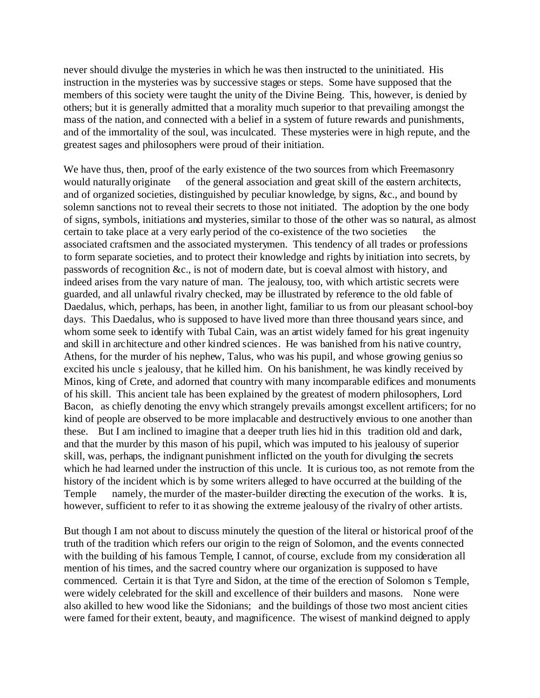never should divulge the mysteries in which he was then instructed to the uninitiated. His instruction in the mysteries was by successive stages or steps. Some have supposed that the members of this society were taught the unity of the Divine Being. This, however, is denied by others; but it is generally admitted that a morality much superior to that prevailing amongst the mass of the nation, and connected with a belief in a system of future rewards and punishments, and of the immortality of the soul, was inculcated. These mysteries were in high repute, and the greatest sages and philosophers were proud of their initiation.

We have thus, then, proof of the early existence of the two sources from which Freemasonry would naturally originate of the general association and great skill of the eastern architects, and of organized societies, distinguished by peculiar knowledge, by signs, &c., and bound by solemn sanctions not to reveal their secrets to those not initiated. The adoption by the one body of signs, symbols, initiations and mysteries, similar to those of the other was so natural, as almost certain to take place at a very early period of the co-existence of the two societies the associated craftsmen and the associated mysterymen. This tendency of all trades or professions to form separate societies, and to protect their knowledge and rights by initiation into secrets, by passwords of recognition &c., is not of modern date, but is coeval almost with history, and indeed arises from the vary nature of man. The jealousy, too, with which artistic secrets were guarded, and all unlawful rivalry checked, may be illustrated by reference to the old fable of Daedalus, which, perhaps, has been, in another light, familiar to us from our pleasant school-boy days. This Daedalus, who is supposed to have lived more than three thousand years since, and whom some seek to identify with Tubal Cain, was an artist widely famed for his great ingenuity and skill in architecture and other kindred sciences. He was banished from his native country, Athens, for the murder of his nephew, Talus, who was his pupil, and whose growing genius so excited his uncle s jealousy, that he killed him. On his banishment, he was kindly received by Minos, king of Crete, and adorned that country with many incomparable edifices and monuments of his skill. This ancient tale has been explained by the greatest of modern philosophers, Lord Bacon, as chiefly denoting the envy which strangely prevails amongst excellent artificers; for no kind of people are observed to be more implacable and destructively envious to one another than these. But I am inclined to imagine that a deeper truth lies hid in this tradition old and dark, and that the murder by this mason of his pupil, which was imputed to his jealousy of superior skill, was, perhaps, the indignant punishment inflicted on the youth for divulging the secrets which he had learned under the instruction of this uncle. It is curious too, as not remote from the history of the incident which is by some writers alleged to have occurred at the building of the Temple namely, the murder of the master-builder directing the execution of the works. It is, however, sufficient to refer to it as showing the extreme jealousy of the rivalry of other artists.

But though I am not about to discuss minutely the question of the literal or historical proof of the truth of the tradition which refers our origin to the reign of Solomon, and the events connected with the building of his famous Temple, I cannot, of course, exclude from my consideration all mention of his times, and the sacred country where our organization is supposed to have commenced. Certain it is that Tyre and Sidon, at the time of the erection of Solomon s Temple, were widely celebrated for the skill and excellence of their builders and masons. None were also akilled to hew wood like the Sidonians; and the buildings of those two most ancient cities were famed for their extent, beauty, and magnificence. The wisest of mankind deigned to apply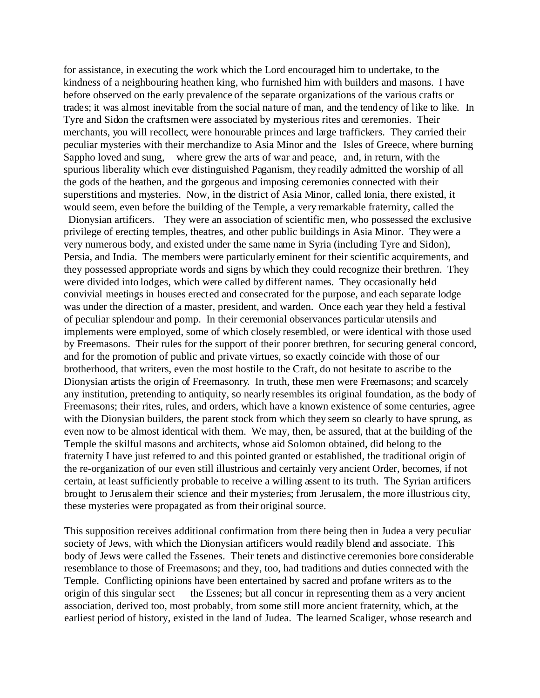for assistance, in executing the work which the Lord encouraged him to undertake, to the kindness of a neighbouring heathen king, who furnished him with builders and masons. I have before observed on the early prevalence of the separate organizations of the various crafts or trades; it was almost inevitable from the social nature of man, and the tendency of like to like. In Tyre and Sidon the craftsmen were associated by mysterious rites and ceremonies. Their merchants, you will recollect, were honourable princes and large traffickers. They carried their peculiar mysteries with their merchandize to Asia Minor and the Isles of Greece, where burning Sappho loved and sung, where grew the arts of war and peace, and, in return, with the spurious liberality which ever distinguished Paganism, they readily admitted the worship of all the gods of the heathen, and the gorgeous and imposing ceremonies connected with their superstitions and mysteries. Now, in the district of Asia Minor, called Ionia, there existed, it would seem, even before the building of the Temple, a very remarkable fraternity, called the

 Dionysian artificers. They were an association of scientific men, who possessed the exclusive privilege of erecting temples, theatres, and other public buildings in Asia Minor. They were a very numerous body, and existed under the same name in Syria (including Tyre and Sidon), Persia, and India. The members were particularly eminent for their scientific acquirements, and they possessed appropriate words and signs by which they could recognize their brethren. They were divided into lodges, which were called by different names. They occasionally held convivial meetings in houses erected and consecrated for the purpose, and each separate lodge was under the direction of a master, president, and warden. Once each year they held a festival of peculiar splendour and pomp. In their ceremonial observances particular utensils and implements were employed, some of which closely resembled, or were identical with those used by Freemasons. Their rules for the support of their poorer brethren, for securing general concord, and for the promotion of public and private virtues, so exactly coincide with those of our brotherhood, that writers, even the most hostile to the Craft, do not hesitate to ascribe to the Dionysian artists the origin of Freemasonry. In truth, these men were Freemasons; and scarcely any institution, pretending to antiquity, so nearly resembles its original foundation, as the body of Freemasons; their rites, rules, and orders, which have a known existence of some centuries, agree with the Dionysian builders, the parent stock from which they seem so clearly to have sprung, as even now to be almost identical with them. We may, then, be assured, that at the building of the Temple the skilful masons and architects, whose aid Solomon obtained, did belong to the fraternity I have just referred to and this pointed granted or established, the traditional origin of the re-organization of our even still illustrious and certainly very ancient Order, becomes, if not certain, at least sufficiently probable to receive a willing assent to its truth. The Syrian artificers brought to Jerusalem their science and their mysteries; from Jerusalem, the more illustrious city, these mysteries were propagated as from their original source.

This supposition receives additional confirmation from there being then in Judea a very peculiar society of Jews, with which the Dionysian artificers would readily blend and associate. This body of Jews were called the Essenes. Their tenets and distinctive ceremonies bore considerable resemblance to those of Freemasons; and they, too, had traditions and duties connected with the Temple. Conflicting opinions have been entertained by sacred and profane writers as to the origin of this singular sect the Essenes; but all concur in representing them as a very ancient association, derived too, most probably, from some still more ancient fraternity, which, at the earliest period of history, existed in the land of Judea. The learned Scaliger, whose research and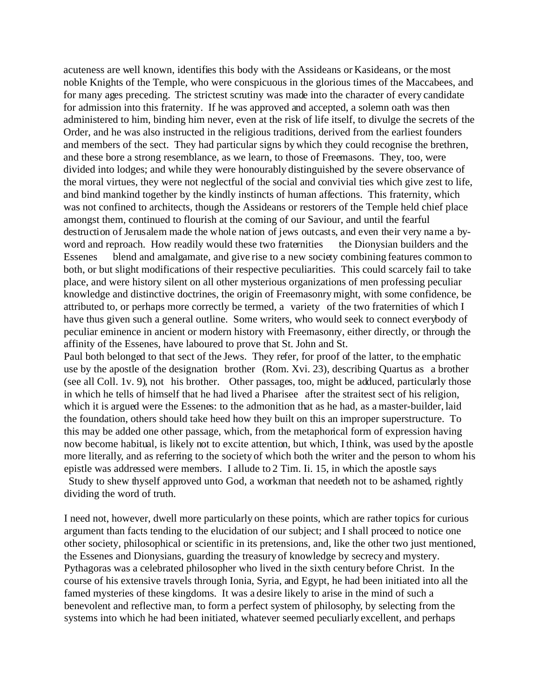acuteness are well known, identifies this body with the Assideans or Kasideans, or the most noble Knights of the Temple, who were conspicuous in the glorious times of the Maccabees, and for many ages preceding. The strictest scrutiny was made into the character of every candidate for admission into this fraternity. If he was approved and accepted, a solemn oath was then administered to him, binding him never, even at the risk of life itself, to divulge the secrets of the Order, and he was also instructed in the religious traditions, derived from the earliest founders and members of the sect. They had particular signs by which they could recognise the brethren, and these bore a strong resemblance, as we learn, to those of Freemasons. They, too, were divided into lodges; and while they were honourably distinguished by the severe observance of the moral virtues, they were not neglectful of the social and convivial ties which give zest to life, and bind mankind together by the kindly instincts of human affections. This fraternity, which was not confined to architects, though the Assideans or restorers of the Temple held chief place amongst them, continued to flourish at the coming of our Saviour, and until the fearful destruction of Jerusalem made the whole nation of jews outcasts, and even their very name a byword and reproach. How readily would these two fraternities the Dionysian builders and the Essenes blend and amalgamate, and give rise to a new society combining features common to both, or but slight modifications of their respective peculiarities. This could scarcely fail to take place, and were history silent on all other mysterious organizations of men professing peculiar knowledge and distinctive doctrines, the origin of Freemasonry might, with some confidence, be attributed to, or perhaps more correctly be termed, a variety of the two fraternities of which I have thus given such a general outline. Some writers, who would seek to connect everybody of peculiar eminence in ancient or modern history with Freemasonry, either directly, or through the affinity of the Essenes, have laboured to prove that St. John and St.

Paul both belonged to that sect of the Jews. They refer, for proof of the latter, to the emphatic use by the apostle of the designation brother (Rom. Xvi. 23), describing Quartus as a brother (see all Coll. 1v. 9), not his brother. Other passages, too, might be adduced, particularly those in which he tells of himself that he had lived a Pharisee after the straitest sect of his religion, which it is argued were the Essenes: to the admonition that as he had, as a master-builder, laid the foundation, others should take heed how they built on this an improper superstructure. To this may be added one other passage, which, from the metaphorical form of expression having now become habitual, is likely not to excite attention, but which, I think, was used by the apostle more literally, and as referring to the society of which both the writer and the person to whom his epistle was addressed were members. I allude to 2 Tim. Ii. 15, in which the apostle says Study to shew thyself approved unto God, a workman that needeth not to be ashamed, rightly dividing the word of truth.

I need not, however, dwell more particularly on these points, which are rather topics for curious argument than facts tending to the elucidation of our subject; and I shall proceed to notice one other society, philosophical or scientific in its pretensions, and, like the other two just mentioned, the Essenes and Dionysians, guarding the treasury of knowledge by secrecy and mystery. Pythagoras was a celebrated philosopher who lived in the sixth century before Christ. In the course of his extensive travels through Ionia, Syria, and Egypt, he had been initiated into all the famed mysteries of these kingdoms. It was a desire likely to arise in the mind of such a benevolent and reflective man, to form a perfect system of philosophy, by selecting from the systems into which he had been initiated, whatever seemed peculiarly excellent, and perhaps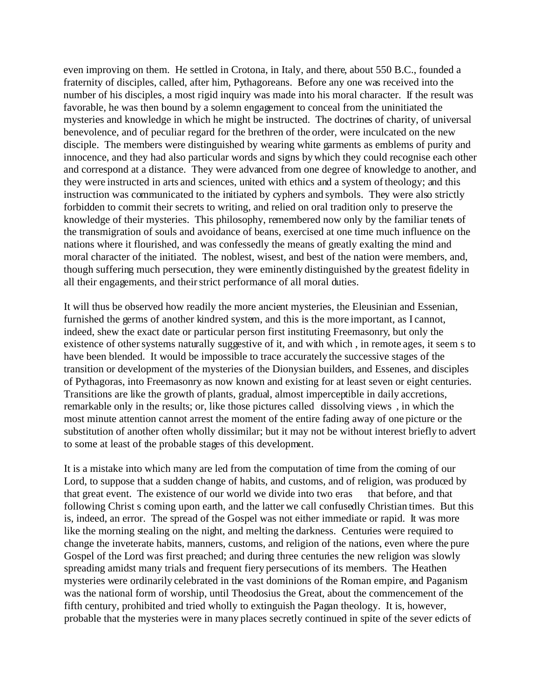even improving on them. He settled in Crotona, in Italy, and there, about 550 B.C., founded a fraternity of disciples, called, after him, Pythagoreans. Before any one was received into the number of his disciples, a most rigid inquiry was made into his moral character. If the result was favorable, he was then bound by a solemn engagement to conceal from the uninitiated the mysteries and knowledge in which he might be instructed. The doctrines of charity, of universal benevolence, and of peculiar regard for the brethren of the order, were inculcated on the new disciple. The members were distinguished by wearing white garments as emblems of purity and innocence, and they had also particular words and signs by which they could recognise each other and correspond at a distance. They were advanced from one degree of knowledge to another, and they were instructed in arts and sciences, united with ethics and a system of theology; and this instruction was communicated to the initiated by cyphers and symbols. They were also strictly forbidden to commit their secrets to writing, and relied on oral tradition only to preserve the knowledge of their mysteries. This philosophy, remembered now only by the familiar tenets of the transmigration of souls and avoidance of beans, exercised at one time much influence on the nations where it flourished, and was confessedly the means of greatly exalting the mind and moral character of the initiated. The noblest, wisest, and best of the nation were members, and, though suffering much persecution, they were eminently distinguished by the greatest fidelity in all their engagements, and their strict performance of all moral duties.

It will thus be observed how readily the more ancient mysteries, the Eleusinian and Essenian, furnished the germs of another kindred system, and this is the more important, as I cannot, indeed, shew the exact date or particular person first instituting Freemasonry, but only the existence of other systems naturally suggestive of it, and with which , in remote ages, it seem s to have been blended. It would be impossible to trace accurately the successive stages of the transition or development of the mysteries of the Dionysian builders, and Essenes, and disciples of Pythagoras, into Freemasonry as now known and existing for at least seven or eight centuries. Transitions are like the growth of plants, gradual, almost imperceptible in daily accretions, remarkable only in the results; or, like those pictures called dissolving views , in which the most minute attention cannot arrest the moment of the entire fading away of one picture or the substitution of another often wholly dissimilar; but it may not be without interest briefly to advert to some at least of the probable stages of this development.

It is a mistake into which many are led from the computation of time from the coming of our Lord, to suppose that a sudden change of habits, and customs, and of religion, was produced by that great event. The existence of our world we divide into two eras that before, and that following Christ s coming upon earth, and the latter we call confusedly Christian times. But this is, indeed, an error. The spread of the Gospel was not either immediate or rapid. It was more like the morning stealing on the night, and melting the darkness. Centuries were required to change the inveterate habits, manners, customs, and religion of the nations, even where the pure Gospel of the Lord was first preached; and during three centuries the new religion was slowly spreading amidst many trials and frequent fiery persecutions of its members. The Heathen mysteries were ordinarily celebrated in the vast dominions of the Roman empire, and Paganism was the national form of worship, until Theodosius the Great, about the commencement of the fifth century, prohibited and tried wholly to extinguish the Pagan theology. It is, however, probable that the mysteries were in many places secretly continued in spite of the sever edicts of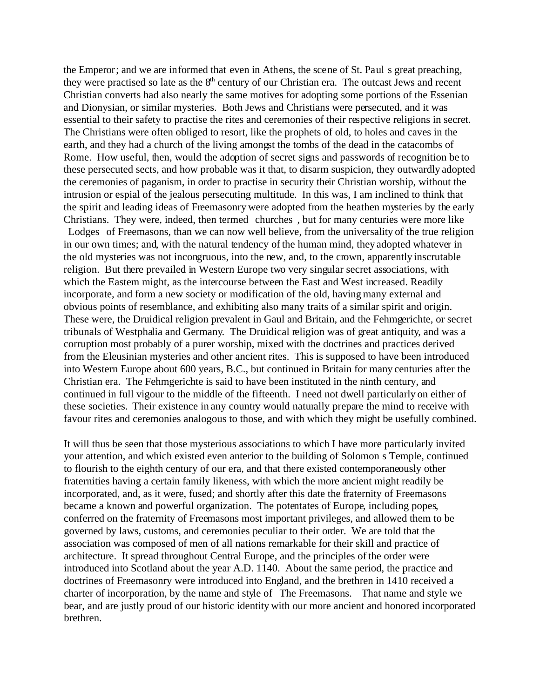the Emperor; and we are informed that even in Athens, the scene of St. Paul s great preaching, they were practised so late as the  $8<sup>th</sup>$  century of our Christian era. The outcast Jews and recent Christian converts had also nearly the same motives for adopting some portions of the Essenian and Dionysian, or similar mysteries. Both Jews and Christians were persecuted, and it was essential to their safety to practise the rites and ceremonies of their respective religions in secret. The Christians were often obliged to resort, like the prophets of old, to holes and caves in the earth, and they had a church of the living amongst the tombs of the dead in the catacombs of Rome. How useful, then, would the adoption of secret signs and passwords of recognition be to these persecuted sects, and how probable was it that, to disarm suspicion, they outwardly adopted the ceremonies of paganism, in order to practise in security their Christian worship, without the intrusion or espial of the jealous persecuting multitude. In this was, I am inclined to think that the spirit and leading ideas of Freemasonry were adopted from the heathen mysteries by the early Christians. They were, indeed, then termed churches , but for many centuries were more like Lodges of Freemasons, than we can now well believe, from the universality of the true religion in our own times; and, with the natural tendency of the human mind, they adopted whatever in the old mysteries was not incongruous, into the new, and, to the crown, apparently inscrutable religion. But there prevailed in Western Europe two very singular secret associations, with which the Eastem might, as the intercourse between the East and West increased. Readily incorporate, and form a new society or modification of the old, having many external and obvious points of resemblance, and exhibiting also many traits of a similar spirit and origin. These were, the Druidical religion prevalent in Gaul and Britain, and the Fehmgerichte, or secret tribunals of Westphalia and Germany. The Druidical religion was of great antiquity, and was a corruption most probably of a purer worship, mixed with the doctrines and practices derived from the Eleusinian mysteries and other ancient rites. This is supposed to have been introduced into Western Europe about 600 years, B.C., but continued in Britain for many centuries after the Christian era. The Fehmgerichte is said to have been instituted in the ninth century, and continued in full vigour to the middle of the fifteenth. I need not dwell particularly on either of these societies. Their existence in any country would naturally prepare the mind to receive with favour rites and ceremonies analogous to those, and with which they might be usefully combined.

It will thus be seen that those mysterious associations to which I have more particularly invited your attention, and which existed even anterior to the building of Solomon s Temple, continued to flourish to the eighth century of our era, and that there existed contemporaneously other fraternities having a certain family likeness, with which the more ancient might readily be incorporated, and, as it were, fused; and shortly after this date the fraternity of Freemasons became a known and powerful organization. The potentates of Europe, including popes, conferred on the fraternity of Freemasons most important privileges, and allowed them to be governed by laws, customs, and ceremonies peculiar to their order. We are told that the association was composed of men of all nations remarkable for their skill and practice of architecture. It spread throughout Central Europe, and the principles of the order were introduced into Scotland about the year A.D. 1140. About the same period, the practice and doctrines of Freemasonry were introduced into England, and the brethren in 1410 received a charter of incorporation, by the name and style of The Freemasons. That name and style we bear, and are justly proud of our historic identity with our more ancient and honored incorporated brethren.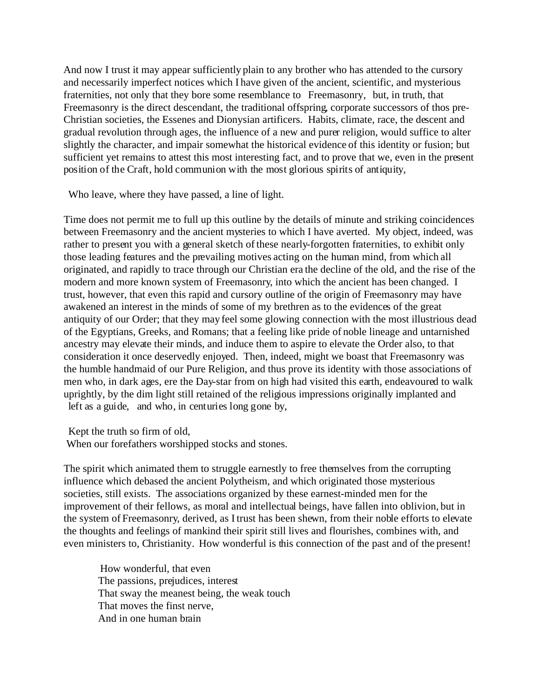And now I trust it may appear sufficiently plain to any brother who has attended to the cursory and necessarily imperfect notices which I have given of the ancient, scientific, and mysterious fraternities, not only that they bore some resemblance to Freemasonry, but, in truth, that Freemasonry is the direct descendant, the traditional offspring, corporate successors of thos pre-Christian societies, the Essenes and Dionysian artificers. Habits, climate, race, the descent and gradual revolution through ages, the influence of a new and purer religion, would suffice to alter slightly the character, and impair somewhat the historical evidence of this identity or fusion; but sufficient yet remains to attest this most interesting fact, and to prove that we, even in the present position of the Craft, hold communion with the most glorious spirits of antiquity,

Who leave, where they have passed, a line of light.

Time does not permit me to full up this outline by the details of minute and striking coincidences between Freemasonry and the ancient mysteries to which I have averted. My object, indeed, was rather to present you with a general sketch of these nearly-forgotten fraternities, to exhibit only those leading features and the prevailing motives acting on the human mind, from which all originated, and rapidly to trace through our Christian era the decline of the old, and the rise of the modern and more known system of Freemasonry, into which the ancient has been changed. I trust, however, that even this rapid and cursory outline of the origin of Freemasonry may have awakened an interest in the minds of some of my brethren as to the evidences of the great antiquity of our Order; that they may feel some glowing connection with the most illustrious dead of the Egyptians, Greeks, and Romans; that a feeling like pride of noble lineage and untarnished ancestry may elevate their minds, and induce them to aspire to elevate the Order also, to that consideration it once deservedly enjoyed. Then, indeed, might we boast that Freemasonry was the humble handmaid of our Pure Religion, and thus prove its identity with those associations of men who, in dark ages, ere the Day-star from on high had visited this earth, endeavoured to walk uprightly, by the dim light still retained of the religious impressions originally implanted and left as a guide, and who, in centuries long gone by,

Kept the truth so firm of old,

When our forefathers worshipped stocks and stones.

The spirit which animated them to struggle earnestly to free themselves from the corrupting influence which debased the ancient Polytheism, and which originated those mysterious societies, still exists. The associations organized by these earnest-minded men for the improvement of their fellows, as moral and intellectual beings, have fallen into oblivion, but in the system of Freemasonry, derived, as I trust has been shewn, from their noble efforts to elevate the thoughts and feelings of mankind their spirit still lives and flourishes, combines with, and even ministers to, Christianity. How wonderful is this connection of the past and of the present!

 How wonderful, that even The passions, prejudices, interest That sway the meanest being, the weak touch That moves the finst nerve, And in one human brain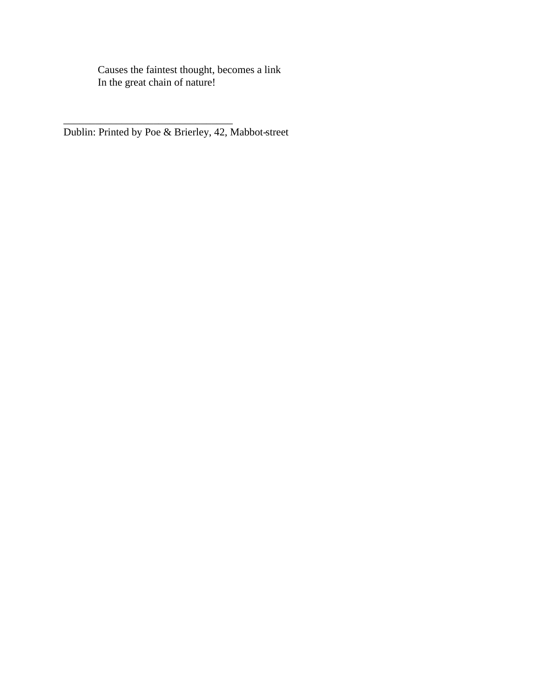Causes the faintest thought, becomes a link In the great chain of nature!

Dublin: Printed by Poe & Brierley, 42, Mabbot-street

 $\overline{\phantom{a}}$  , where  $\overline{\phantom{a}}$  , where  $\overline{\phantom{a}}$  ,  $\overline{\phantom{a}}$  ,  $\overline{\phantom{a}}$  ,  $\overline{\phantom{a}}$  ,  $\overline{\phantom{a}}$  ,  $\overline{\phantom{a}}$  ,  $\overline{\phantom{a}}$  ,  $\overline{\phantom{a}}$  ,  $\overline{\phantom{a}}$  ,  $\overline{\phantom{a}}$  ,  $\overline{\phantom{a}}$  ,  $\overline{\phantom{a}}$  ,  $\overline{\phantom{a}}$  ,